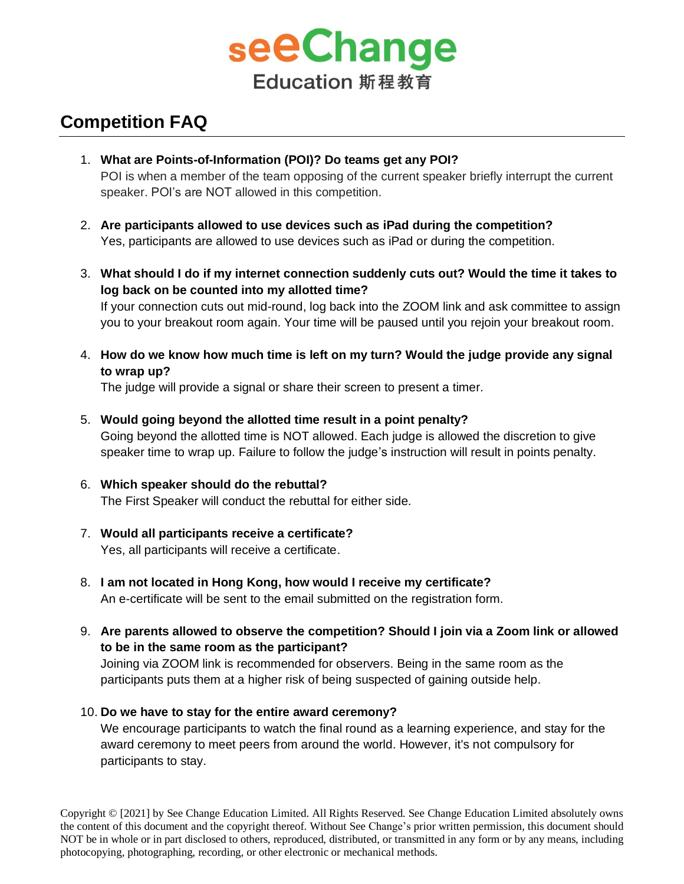

## **Competition FAQ**

- 1. **What are Points-of-Information (POI)? Do teams get any POI?** POI is when a member of the team opposing of the current speaker briefly interrupt the current speaker. POI's are NOT allowed in this competition.
- 2. **Are participants allowed to use devices such as iPad during the competition?**  Yes, participants are allowed to use devices such as iPad or during the competition.
- 3. **What should I do if my internet connection suddenly cuts out? Would the time it takes to log back on be counted into my allotted time?**

If your connection cuts out mid-round, log back into the ZOOM link and ask committee to assign you to your breakout room again. Your time will be paused until you rejoin your breakout room.

4. **How do we know how much time is left on my turn? Would the judge provide any signal to wrap up?**

The judge will provide a signal or share their screen to present a timer.

- 5. **Would going beyond the allotted time result in a point penalty?**  Going beyond the allotted time is NOT allowed. Each judge is allowed the discretion to give speaker time to wrap up. Failure to follow the judge's instruction will result in points penalty.
- 6. **Which speaker should do the rebuttal?**  The First Speaker will conduct the rebuttal for either side.
- 7. **Would all participants receive a certificate?** Yes, all participants will receive a certificate.
- 8. **I am not located in Hong Kong, how would I receive my certificate?** An e-certificate will be sent to the email submitted on the registration form.
- 9. **Are parents allowed to observe the competition? Should I join via a Zoom link or allowed to be in the same room as the participant?**

Joining via ZOOM link is recommended for observers. Being in the same room as the participants puts them at a higher risk of being suspected of gaining outside help.

10. **Do we have to stay for the entire award ceremony?**

We encourage participants to watch the final round as a learning experience, and stay for the award ceremony to meet peers from around the world. However, it's not compulsory for participants to stay.

Copyright © [2021] by See Change Education Limited. All Rights Reserved. See Change Education Limited absolutely owns the content of this document and the copyright thereof. Without See Change's prior written permission, this document should NOT be in whole or in part disclosed to others, reproduced, distributed, or transmitted in any form or by any means, including photocopying, photographing, recording, or other electronic or mechanical methods.